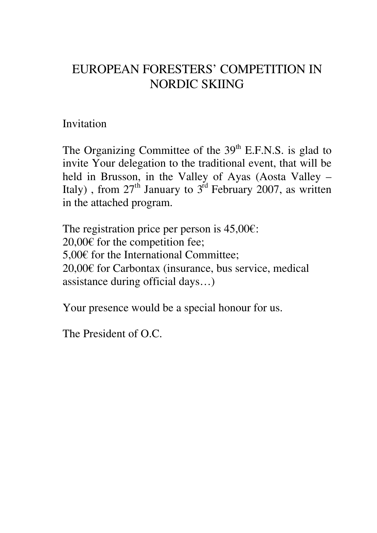## EUROPEAN FORESTERS' COMPETITION IN NORDIC SKIING

## Invitation

The Organizing Committee of the  $39<sup>th</sup>$  E.F.N.S. is glad to invite Your delegation to the traditional event, that will be held in Brusson, in the Valley of Ayas (Aosta Valley – Italy), from  $27<sup>th</sup>$  January to  $3<sup>rd</sup>$  February 2007, as written in the attached program.

The registration price per person is  $45,00 \in$ : 20,00€ for the competition fee; 5,00€ for the International Committee; 20,00€ for Carbontax (insurance, bus service, medical assistance during official days…)

Your presence would be a special honour for us.

The President of O.C.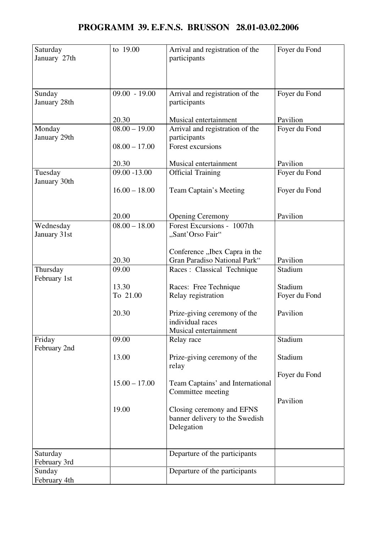| Saturday     | to 19.00        | Arrival and registration of the  | Foyer du Fond |
|--------------|-----------------|----------------------------------|---------------|
| January 27th |                 | participants                     |               |
|              |                 |                                  |               |
|              |                 |                                  |               |
|              |                 |                                  |               |
| Sunday       | $09.00 - 19.00$ | Arrival and registration of the  | Foyer du Fond |
| January 28th |                 | participants                     |               |
|              |                 |                                  |               |
|              | 20.30           | Musical entertainment            | Pavilion      |
| Monday       | $08.00 - 19.00$ | Arrival and registration of the  | Foyer du Fond |
| January 29th |                 | participants                     |               |
|              | $08.00 - 17.00$ | Forest excursions                |               |
|              |                 |                                  |               |
|              | 20.30           | Musical entertainment            | Pavilion      |
| Tuesday      | $09.00 - 13.00$ | <b>Official Training</b>         | Foyer du Fond |
| January 30th |                 |                                  |               |
|              | $16.00 - 18.00$ | Team Captain's Meeting           | Foyer du Fond |
|              |                 |                                  |               |
|              |                 |                                  |               |
|              | 20.00           | <b>Opening Ceremony</b>          | Pavilion      |
| Wednesday    | $08.00 - 18.00$ | Forest Excursions - 1007th       |               |
| January 31st |                 | "Sant'Orso Fair"                 |               |
|              |                 |                                  |               |
|              |                 | Conference "Ibex Capra in the    |               |
|              | 20.30           | Gran Paradiso National Park"     | Pavilion      |
| Thursday     | 09.00           | Races : Classical Technique      | Stadium       |
| February 1st |                 |                                  |               |
|              | 13.30           | Races: Free Technique            | Stadium       |
|              | To 21.00        | Relay registration               | Foyer du Fond |
|              |                 |                                  |               |
|              | 20.30           | Prize-giving ceremony of the     | Pavilion      |
|              |                 | individual races                 |               |
|              |                 | Musical entertainment            |               |
| Friday       | 09.00           | Relay race                       | Stadium       |
| February 2nd |                 |                                  |               |
|              | 13.00           | Prize-giving ceremony of the     | Stadium       |
|              |                 | relay                            |               |
|              | $15.00 - 17.00$ |                                  | Foyer du Fond |
|              |                 | Team Captains' and International |               |
|              |                 | Committee meeting                | Pavilion      |
|              | 19.00           | Closing ceremony and EFNS        |               |
|              |                 | banner delivery to the Swedish   |               |
|              |                 | Delegation                       |               |
|              |                 |                                  |               |
|              |                 |                                  |               |
| Saturday     |                 | Departure of the participants    |               |
| February 3rd |                 |                                  |               |
| Sunday       |                 | Departure of the participants    |               |
| February 4th |                 |                                  |               |